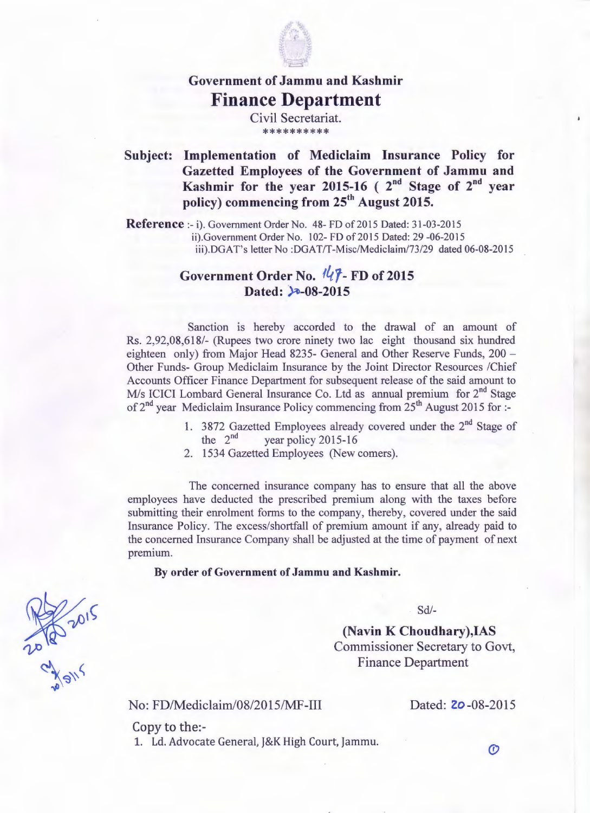

## **Government of Jammu and Kashmir Finance Department**

Civil Secretariat. \*\*\*\*\*\*\*\*\*\*

## **Subject: Implementation of Mediclaim Insurance Policy for Gazetted Employees of the Government of Jammu and Kashmir for the year 2015-16 ( 2nd Stage of 2nd year policy) commencing from** zs" **August 2015.**

**Reference :- i).** Government Order No. 48- FD of 2015 Dated: 31-03-2015 ii).Government Order No. 102- FD of 2015 Dated: 29 -06-2015 iii).DGAT's letter No: DGAT/T-Misc/Mediclaim/73/29 dated 06-08-2015

## Government Order No.  $\sqrt{l}$ -FD of 2015 Dated: 3-08-2015

Sanction is hereby accorded to the drawal of an amount of Rs. 2,92,08,618/- (Rupees two crore ninety two lac eight thousand six hundred eighteen only) from Major Head 8235- General and Other Reserve Funds, 200 -Other Funds- Group Mediclaim Insurance by the Joint Director Resources /Chief Accounts Officer Finance Department for subsequent release of the said amount to M/s ICICI Lombard General Insurance Co. Ltd as annual premium for 2<sup>nd</sup> Stage of  $2^{nd}$  year Mediclaim Insurance Policy commencing from  $25^{th}$  August 2015 for :-

- 1. 3872 Gazetted Employees already covered under the  $2^{nd}$  Stage of the  $2^{nd}$  vear policy 2015-16 vear policy 2015-16
- 2. 1534 Gazetted Employees (New comers).

The concerned insurance company has to ensure that all the above employees have deducted the prescribed premium along with the taxes before submitting their enrolment forms to the company, thereby, covered under the said Insurance Policy. The excess/shortfall of premium amount if any, already paid to the concerned Insurance Company shall be adjusted at the time of payment of next premium.

## **By order of Government of Jammu and Kashmir.**

Sd/-

**(Navin K Choudhary),IAS** Commissioner Secretary to Govt, Finance Department

No: FD/Mediclaim/08/2015/MF-III

210 2015

Dated: **20**-08-2015

Copy to the:- 1. Ld. Advocate General, J&K High Court, Jammu.

 $\mathcal{O}$